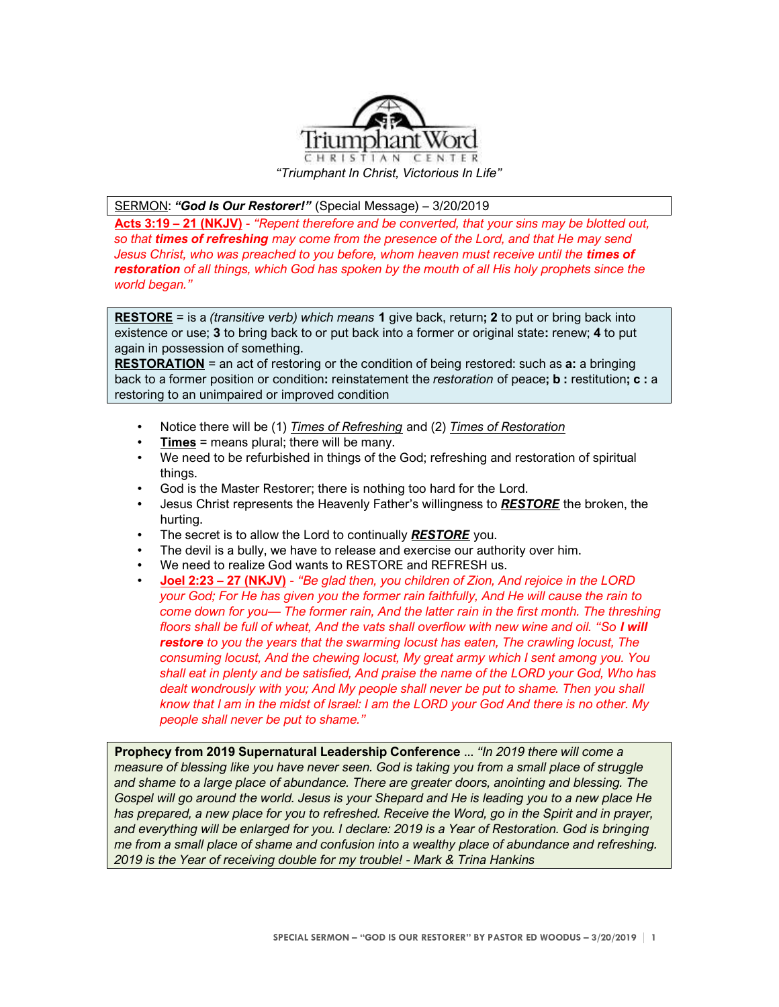

SERMON: *"God Is Our Restorer!"* (Special Message) – 3/20/2019

**Acts 3:19 – 21 (NKJV)** - *"Repent therefore and be converted, that your sins may be blotted out, so that times of refreshing may come from the presence of the Lord, and that He may send*  Jesus Christ, who was preached to you before, whom heaven must receive until the **times of** *restoration of all things, which God has spoken by the mouth of all His holy prophets since the world began."*

**RESTORE** = is a *(transitive verb) which means* **1** give back, return**; 2** to put or bring back into existence or use; **3** to bring back to or put back into a former or original state**:** renew; **4** to put again in possession of something.

**RESTORATION** = an act of restoring or the condition of being restored: such as **a:** a bringing back to a former position or condition**:** reinstatement the *restoration* of peace**; b :** restitution**; c :** a restoring to an unimpaired or improved condition

- Notice there will be (1) *Times of Refreshing* and (2) *Times of Restoration*
- **Times** = means plural; there will be many.
- We need to be refurbished in things of the God; refreshing and restoration of spiritual things.
- God is the Master Restorer; there is nothing too hard for the Lord.
- Jesus Christ represents the Heavenly Father's willingness to *RESTORE* the broken, the hurting.
- The secret is to allow the Lord to continually *RESTORE* you.
- The devil is a bully, we have to release and exercise our authority over him.
- We need to realize God wants to RESTORE and REFRESH us.
- **Joel 2:23 – 27 (NKJV)** *"Be glad then, you children of Zion, And rejoice in the LORD your God; For He has given you the former rain faithfully, And He will cause the rain to come down for you— The former rain, And the latter rain in the first month. The threshing floors shall be full of wheat, And the vats shall overflow with new wine and oil. "So I will restore to you the years that the swarming locust has eaten, The crawling locust, The consuming locust, And the chewing locust, My great army which I sent among you. You shall eat in plenty and be satisfied, And praise the name of the LORD your God, Who has dealt wondrously with you; And My people shall never be put to shame. Then you shall know that I am in the midst of Israel: I am the LORD your God And there is no other. My people shall never be put to shame."*

**Prophecy from 2019 Supernatural Leadership Conference** ... *"In 2019 there will come a measure of blessing like you have never seen. God is taking you from a small place of struggle and shame to a large place of abundance. There are greater doors, anointing and blessing. The Gospel will go around the world. Jesus is your Shepard and He is leading you to a new place He*  has prepared, a new place for you to refreshed. Receive the Word, go in the Spirit and in prayer, *and everything will be enlarged for you. I declare: 2019 is a Year of Restoration. God is bringing me from a small place of shame and confusion into a wealthy place of abundance and refreshing. 2019 is the Year of receiving double for my trouble! - Mark & Trina Hankins*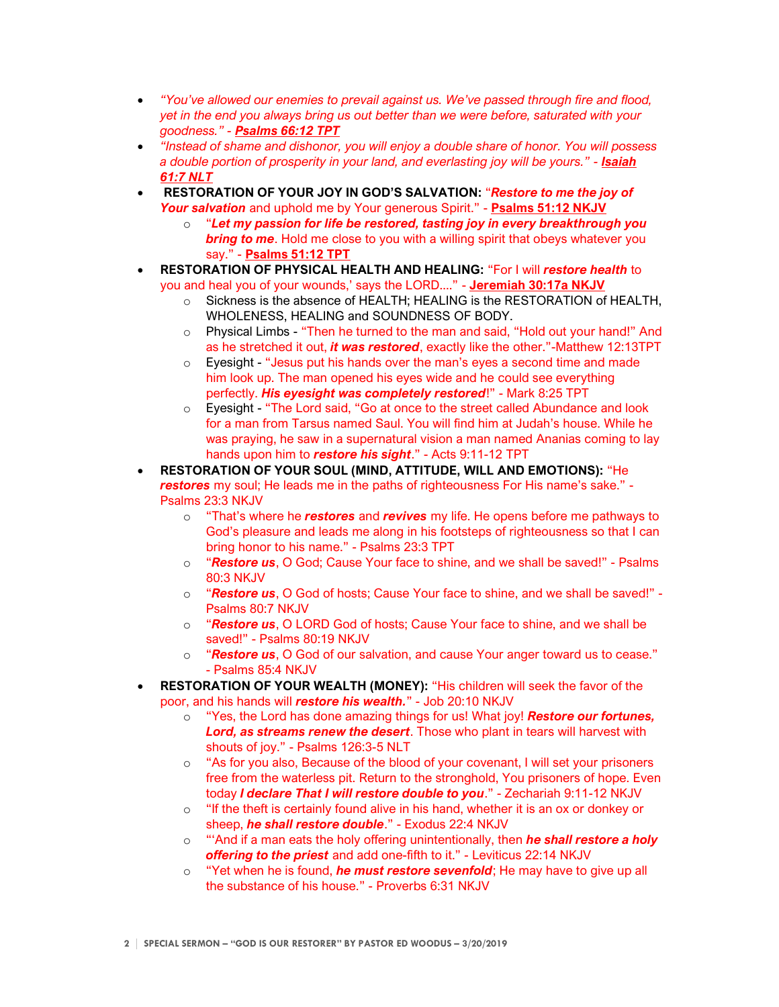- *"You've allowed our enemies to prevail against us. We've passed through fire and flood, yet in the end you always bring us out better than we were before, saturated with your goodness." - Psalms 66:12 TPT*
- *"Instead of shame and dishonor, you will enjoy a double share of honor. You will possess a double portion of prosperity in your land, and everlasting joy will be yours." - Isaiah 61:7 NLT*
- **RESTORATION OF YOUR JOY IN GOD'S SALVATION:** "*Restore to me the joy of Your salvation* and uphold me by Your generous Spirit." - **Psalms 51:12 NKJV**
	- o "*Let my passion for life be restored, tasting joy in every breakthrough you bring to me*. Hold me close to you with a willing spirit that obeys whatever you say." - **Psalms 51:12 TPT**
- **RESTORATION OF PHYSICAL HEALTH AND HEALING:** "For I will *restore health* to you and heal you of your wounds,' says the LORD...." - **Jeremiah 30:17a NKJV**
	- o Sickness is the absence of HEALTH; HEALING is the RESTORATION of HEALTH, WHOLENESS, HEALING and SOUNDNESS OF BODY.
	- $\circ$  Physical Limbs "Then he turned to the man and said, "Hold out your hand!" And as he stretched it out, *it was restored*, exactly like the other."-Matthew 12:13TPT
	- $\circ$  Eyesight "Jesus put his hands over the man's eyes a second time and made him look up. The man opened his eyes wide and he could see everything perfectly. *His eyesight was completely restored*!" - Mark 8:25 TPT
	- o Eyesight "The Lord said, "Go at once to the street called Abundance and look for a man from Tarsus named Saul. You will find him at Judah's house. While he was praying, he saw in a supernatural vision a man named Ananias coming to lay hands upon him to *restore his sight*." - Acts 9:11-12 TPT
- **RESTORATION OF YOUR SOUL (MIND, ATTITUDE, WILL AND EMOTIONS):** "He *restores* my soul; He leads me in the paths of righteousness For His name's sake." - Psalms 23:3 NKJV
	- o "That's where he *restores* and *revives* my life. He opens before me pathways to God's pleasure and leads me along in his footsteps of righteousness so that I can bring honor to his name." - Psalms 23:3 TPT
	- o "*Restore us*, O God; Cause Your face to shine, and we shall be saved!" Psalms 80:3 NKJV
	- o "*Restore us*, O God of hosts; Cause Your face to shine, and we shall be saved!" Psalms 80:7 NKJV
	- o "*Restore us*, O LORD God of hosts; Cause Your face to shine, and we shall be saved!" - Psalms 80:19 NKJV
	- o "*Restore us*, O God of our salvation, and cause Your anger toward us to cease." - Psalms 85:4 NKJV
- **RESTORATION OF YOUR WEALTH (MONEY):** "His children will seek the favor of the poor, and his hands will *restore his wealth.*" - Job 20:10 NKJV
	- o "Yes, the Lord has done amazing things for us! What joy! *Restore our fortunes, Lord, as streams renew the desert*. Those who plant in tears will harvest with shouts of joy." - Psalms 126:3-5 NLT
	- o "As for you also, Because of the blood of your covenant, I will set your prisoners free from the waterless pit. Return to the stronghold, You prisoners of hope. Even today *I declare That I will restore double to you*." - Zechariah 9:11-12 NKJV
	- $\circ$  "If the theft is certainly found alive in his hand, whether it is an ox or donkey or sheep, *he shall restore double*." - Exodus 22:4 NKJV
	- o "'And if a man eats the holy offering unintentionally, then *he shall restore a holy offering to the priest* and add one-fifth to it." - Leviticus 22:14 NKJV
	- o "Yet when he is found, *he must restore sevenfold*; He may have to give up all the substance of his house." - Proverbs 6:31 NKJV